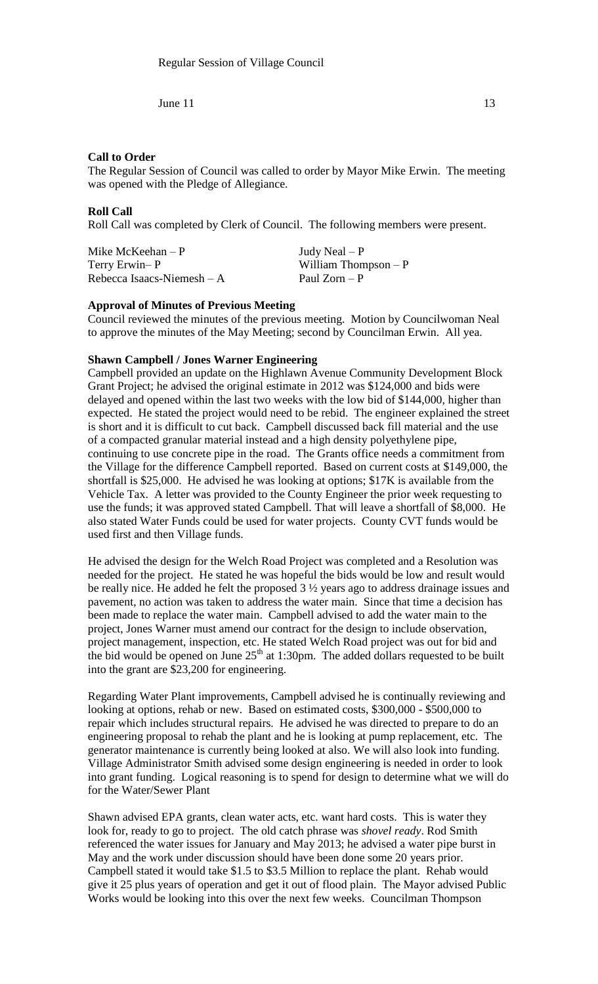### **Call to Order**

The Regular Session of Council was called to order by Mayor Mike Erwin. The meeting was opened with the Pledge of Allegiance.

### **Roll Call**

Roll Call was completed by Clerk of Council. The following members were present.

| Mike McKeehan $-P$          |  |
|-----------------------------|--|
| Terry Erwin-P               |  |
| Rebecca Isaacs-Niemesh $-A$ |  |

Judy Neal –  $P$ William Thompson –  $P$ Paul Zorn – P

# **Approval of Minutes of Previous Meeting**

Council reviewed the minutes of the previous meeting. Motion by Councilwoman Neal to approve the minutes of the May Meeting; second by Councilman Erwin. All yea.

### **Shawn Campbell / Jones Warner Engineering**

Campbell provided an update on the Highlawn Avenue Community Development Block Grant Project; he advised the original estimate in 2012 was \$124,000 and bids were delayed and opened within the last two weeks with the low bid of \$144,000, higher than expected. He stated the project would need to be rebid. The engineer explained the street is short and it is difficult to cut back. Campbell discussed back fill material and the use of a compacted granular material instead and a high density polyethylene pipe, continuing to use concrete pipe in the road. The Grants office needs a commitment from the Village for the difference Campbell reported. Based on current costs at \$149,000, the shortfall is \$25,000. He advised he was looking at options; \$17K is available from the Vehicle Tax. A letter was provided to the County Engineer the prior week requesting to use the funds; it was approved stated Campbell. That will leave a shortfall of \$8,000. He also stated Water Funds could be used for water projects. County CVT funds would be used first and then Village funds.

He advised the design for the Welch Road Project was completed and a Resolution was needed for the project. He stated he was hopeful the bids would be low and result would be really nice. He added he felt the proposed 3 ½ years ago to address drainage issues and pavement, no action was taken to address the water main. Since that time a decision has been made to replace the water main. Campbell advised to add the water main to the project, Jones Warner must amend our contract for the design to include observation, project management, inspection, etc. He stated Welch Road project was out for bid and the bid would be opened on June  $25<sup>th</sup>$  at 1:30pm. The added dollars requested to be built into the grant are \$23,200 for engineering.

Regarding Water Plant improvements, Campbell advised he is continually reviewing and looking at options, rehab or new. Based on estimated costs, \$300,000 - \$500,000 to repair which includes structural repairs. He advised he was directed to prepare to do an engineering proposal to rehab the plant and he is looking at pump replacement, etc. The generator maintenance is currently being looked at also. We will also look into funding. Village Administrator Smith advised some design engineering is needed in order to look into grant funding. Logical reasoning is to spend for design to determine what we will do for the Water/Sewer Plant

Shawn advised EPA grants, clean water acts, etc. want hard costs. This is water they look for, ready to go to project. The old catch phrase was *shovel ready*. Rod Smith referenced the water issues for January and May 2013; he advised a water pipe burst in May and the work under discussion should have been done some 20 years prior. Campbell stated it would take \$1.5 to \$3.5 Million to replace the plant. Rehab would give it 25 plus years of operation and get it out of flood plain. The Mayor advised Public Works would be looking into this over the next few weeks. Councilman Thompson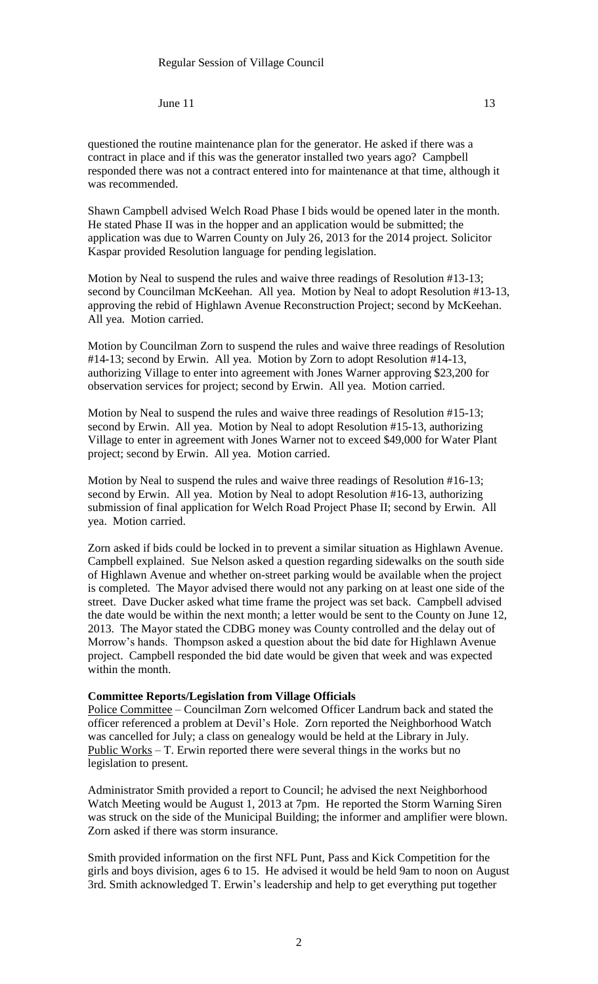Shawn Campbell advised Welch Road Phase I bids would be opened later in the month. He stated Phase II was in the hopper and an application would be submitted; the application was due to Warren County on July 26, 2013 for the 2014 project. Solicitor Kaspar provided Resolution language for pending legislation.

Motion by Neal to suspend the rules and waive three readings of Resolution #13-13; second by Councilman McKeehan. All yea. Motion by Neal to adopt Resolution #13-13, approving the rebid of Highlawn Avenue Reconstruction Project; second by McKeehan. All yea. Motion carried.

Motion by Councilman Zorn to suspend the rules and waive three readings of Resolution #14-13; second by Erwin. All yea. Motion by Zorn to adopt Resolution #14-13, authorizing Village to enter into agreement with Jones Warner approving \$23,200 for observation services for project; second by Erwin. All yea. Motion carried.

Motion by Neal to suspend the rules and waive three readings of Resolution #15-13; second by Erwin. All yea. Motion by Neal to adopt Resolution #15-13, authorizing Village to enter in agreement with Jones Warner not to exceed \$49,000 for Water Plant project; second by Erwin. All yea. Motion carried.

Motion by Neal to suspend the rules and waive three readings of Resolution #16-13; second by Erwin. All yea. Motion by Neal to adopt Resolution #16-13, authorizing submission of final application for Welch Road Project Phase II; second by Erwin. All yea. Motion carried.

Zorn asked if bids could be locked in to prevent a similar situation as Highlawn Avenue. Campbell explained. Sue Nelson asked a question regarding sidewalks on the south side of Highlawn Avenue and whether on-street parking would be available when the project is completed. The Mayor advised there would not any parking on at least one side of the street. Dave Ducker asked what time frame the project was set back. Campbell advised the date would be within the next month; a letter would be sent to the County on June 12, 2013. The Mayor stated the CDBG money was County controlled and the delay out of Morrow's hands. Thompson asked a question about the bid date for Highlawn Avenue project. Campbell responded the bid date would be given that week and was expected within the month.

#### **Committee Reports/Legislation from Village Officials**

Police Committee – Councilman Zorn welcomed Officer Landrum back and stated the officer referenced a problem at Devil's Hole. Zorn reported the Neighborhood Watch was cancelled for July; a class on genealogy would be held at the Library in July. Public Works – T. Erwin reported there were several things in the works but no legislation to present.

Administrator Smith provided a report to Council; he advised the next Neighborhood Watch Meeting would be August 1, 2013 at 7pm. He reported the Storm Warning Siren was struck on the side of the Municipal Building; the informer and amplifier were blown. Zorn asked if there was storm insurance.

Smith provided information on the first NFL Punt, Pass and Kick Competition for the girls and boys division, ages 6 to 15. He advised it would be held 9am to noon on August 3rd. Smith acknowledged T. Erwin's leadership and help to get everything put together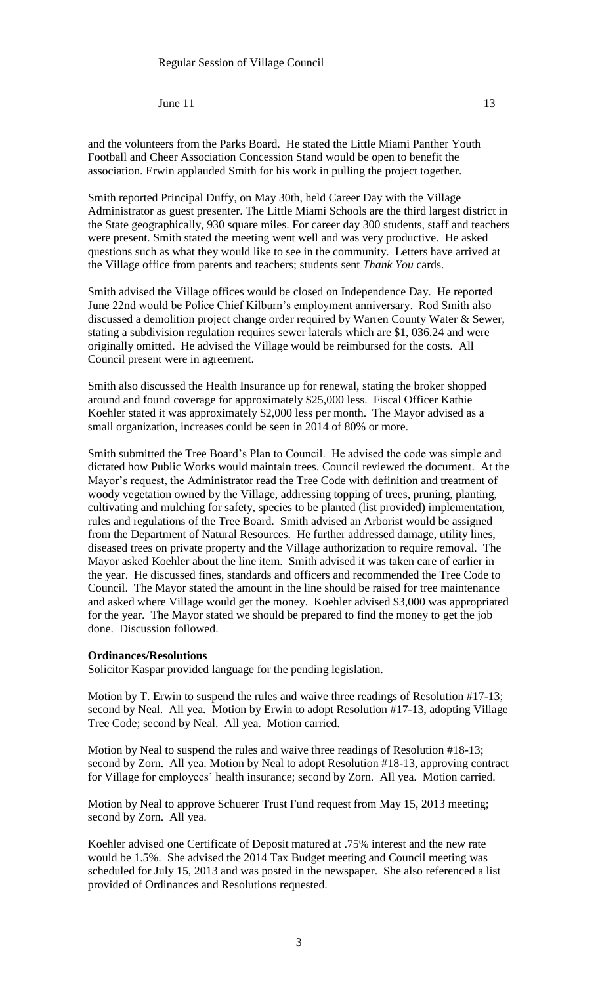and the volunteers from the Parks Board. He stated the Little Miami Panther Youth Football and Cheer Association Concession Stand would be open to benefit the association. Erwin applauded Smith for his work in pulling the project together.

Smith reported Principal Duffy, on May 30th, held Career Day with the Village Administrator as guest presenter. The Little Miami Schools are the third largest district in the State geographically, 930 square miles. For career day 300 students, staff and teachers were present. Smith stated the meeting went well and was very productive. He asked questions such as what they would like to see in the community. Letters have arrived at the Village office from parents and teachers; students sent *Thank You* cards.

Smith advised the Village offices would be closed on Independence Day. He reported June 22nd would be Police Chief Kilburn's employment anniversary. Rod Smith also discussed a demolition project change order required by Warren County Water & Sewer, stating a subdivision regulation requires sewer laterals which are \$1, 036.24 and were originally omitted. He advised the Village would be reimbursed for the costs. All Council present were in agreement.

Smith also discussed the Health Insurance up for renewal, stating the broker shopped around and found coverage for approximately \$25,000 less. Fiscal Officer Kathie Koehler stated it was approximately \$2,000 less per month. The Mayor advised as a small organization, increases could be seen in 2014 of 80% or more.

Smith submitted the Tree Board's Plan to Council. He advised the code was simple and dictated how Public Works would maintain trees. Council reviewed the document. At the Mayor's request, the Administrator read the Tree Code with definition and treatment of woody vegetation owned by the Village, addressing topping of trees, pruning, planting, cultivating and mulching for safety, species to be planted (list provided) implementation, rules and regulations of the Tree Board. Smith advised an Arborist would be assigned from the Department of Natural Resources. He further addressed damage, utility lines, diseased trees on private property and the Village authorization to require removal. The Mayor asked Koehler about the line item. Smith advised it was taken care of earlier in the year. He discussed fines, standards and officers and recommended the Tree Code to Council. The Mayor stated the amount in the line should be raised for tree maintenance and asked where Village would get the money. Koehler advised \$3,000 was appropriated for the year. The Mayor stated we should be prepared to find the money to get the job done. Discussion followed.

#### **Ordinances/Resolutions**

Solicitor Kaspar provided language for the pending legislation.

Motion by T. Erwin to suspend the rules and waive three readings of Resolution #17-13; second by Neal. All yea. Motion by Erwin to adopt Resolution #17-13, adopting Village Tree Code; second by Neal. All yea. Motion carried.

Motion by Neal to suspend the rules and waive three readings of Resolution #18-13; second by Zorn. All yea. Motion by Neal to adopt Resolution #18-13, approving contract for Village for employees' health insurance; second by Zorn. All yea. Motion carried.

Motion by Neal to approve Schuerer Trust Fund request from May 15, 2013 meeting; second by Zorn. All yea.

Koehler advised one Certificate of Deposit matured at .75% interest and the new rate would be 1.5%. She advised the 2014 Tax Budget meeting and Council meeting was scheduled for July 15, 2013 and was posted in the newspaper. She also referenced a list provided of Ordinances and Resolutions requested.